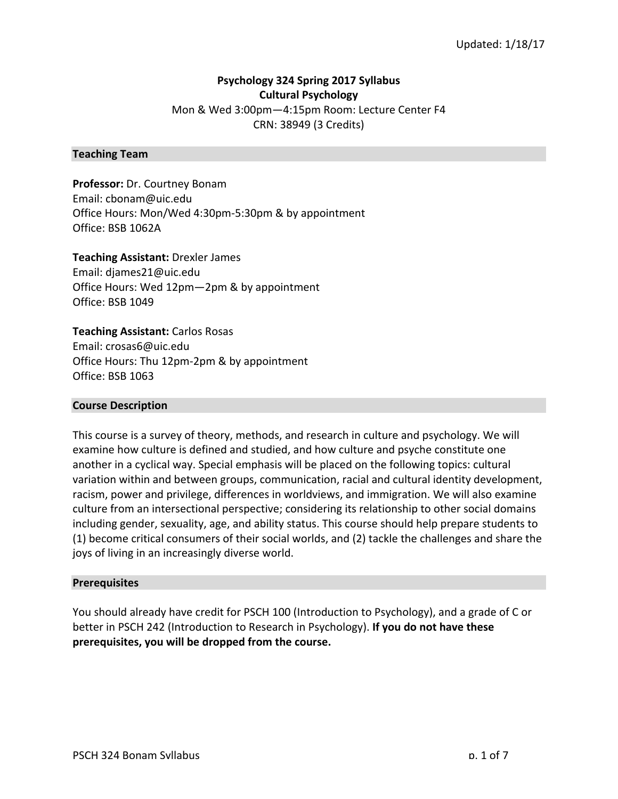## **Psychology 324 Spring 2017 Syllabus Cultural Psychology**

Mon & Wed 3:00pm-4:15pm Room: Lecture Center F4 CRN: 38949 (3 Credits)

## **Teaching Team**

**Professor:** Dr. Courtney Bonam Email: cbonam@uic.edu Office Hours: Mon/Wed 4:30pm-5:30pm & by appointment Office: BSB 1062A

**Teaching Assistant: Drexler James** Email: djames21@uic.edu Office Hours: Wed 12pm-2pm & by appointment Office: BSB 1049

**Teaching Assistant:** Carlos Rosas Email: crosas6@uic.edu Office Hours: Thu 12pm-2pm & by appointment Office: BSB 1063

#### **Course Description**

This course is a survey of theory, methods, and research in culture and psychology. We will examine how culture is defined and studied, and how culture and psyche constitute one another in a cyclical way. Special emphasis will be placed on the following topics: cultural variation within and between groups, communication, racial and cultural identity development, racism, power and privilege, differences in worldviews, and immigration. We will also examine culture from an intersectional perspective; considering its relationship to other social domains including gender, sexuality, age, and ability status. This course should help prepare students to (1) become critical consumers of their social worlds, and (2) tackle the challenges and share the joys of living in an increasingly diverse world.

#### **Prerequisites**

You should already have credit for PSCH 100 (Introduction to Psychology), and a grade of C or better in PSCH 242 (Introduction to Research in Psychology). If you do not have these prerequisites, you will be dropped from the course.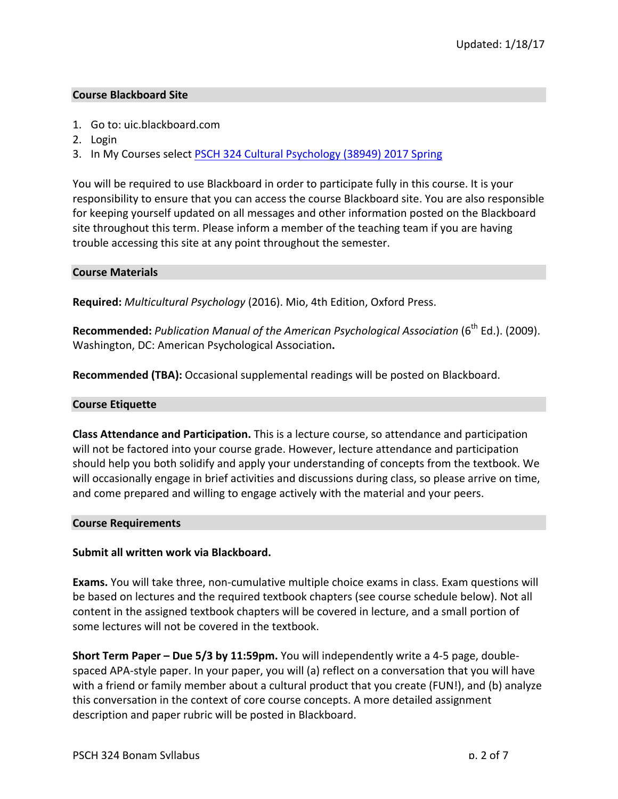## **Course Blackboard Site**

- 1. Go to: uic.blackboard.com
- 2. Login
- 3. In My Courses select PSCH 324 Cultural Psychology (38949) 2017 Spring

You will be required to use Blackboard in order to participate fully in this course. It is your responsibility to ensure that you can access the course Blackboard site. You are also responsible for keeping yourself updated on all messages and other information posted on the Blackboard site throughout this term. Please inform a member of the teaching team if you are having trouble accessing this site at any point throughout the semester.

## **Course Materials**

Required: *Multicultural Psychology* (2016). Mio, 4th Edition, Oxford Press.

Recommended: *Publication Manual of the American Psychological Association* (6<sup>th</sup> Ed.). (2009). Washington, DC: American Psychological Association**.**

**Recommended (TBA):** Occasional supplemental readings will be posted on Blackboard.

## **Course Etiquette**

**Class Attendance and Participation.** This is a lecture course, so attendance and participation will not be factored into your course grade. However, lecture attendance and participation should help you both solidify and apply your understanding of concepts from the textbook. We will occasionally engage in brief activities and discussions during class, so please arrive on time, and come prepared and willing to engage actively with the material and your peers.

#### **Course Requirements**

## **Submit all written work via Blackboard.**

**Exams.** You will take three, non-cumulative multiple choice exams in class. Exam questions will be based on lectures and the required textbook chapters (see course schedule below). Not all content in the assigned textbook chapters will be covered in lecture, and a small portion of some lectures will not be covered in the textbook.

**Short Term Paper – Due 5/3 by 11:59pm.** You will independently write a 4-5 page, doublespaced APA-style paper. In your paper, you will (a) reflect on a conversation that you will have with a friend or family member about a cultural product that you create (FUN!), and (b) analyze this conversation in the context of core course concepts. A more detailed assignment description and paper rubric will be posted in Blackboard.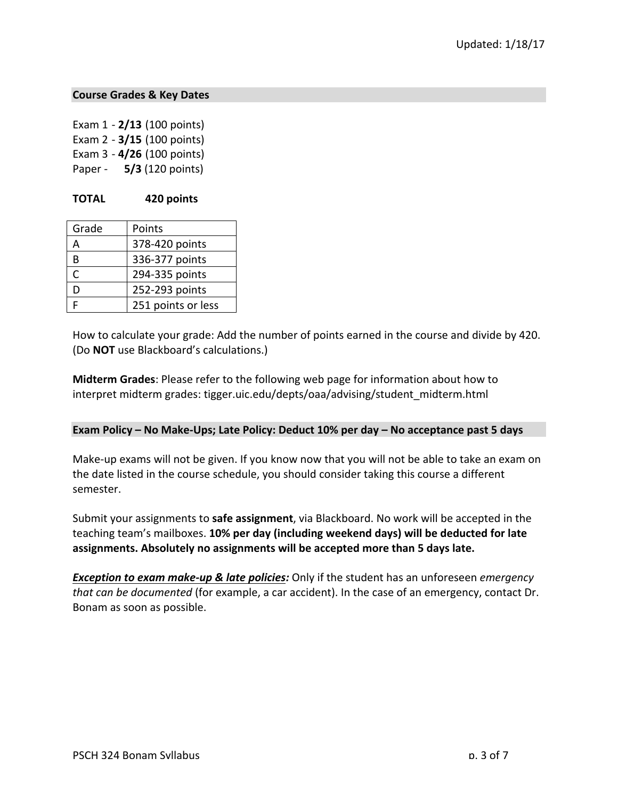## **Course Grades & Key Dates**

Exam 1 - **2/13** (100 points) Exam 2 - **3/15** (100 points) Exam 3 - **4/26** (100 points) Paper - **5/3** (120 points)

## **TOTAL 420 points**

| Grade | Points             |
|-------|--------------------|
| Д     | 378-420 points     |
| R     | 336-377 points     |
| C     | 294-335 points     |
| D     | 252-293 points     |
|       | 251 points or less |

How to calculate your grade: Add the number of points earned in the course and divide by 420. (Do **NOT** use Blackboard's calculations.)

**Midterm Grades:** Please refer to the following web page for information about how to interpret midterm grades: tigger.uic.edu/depts/oaa/advising/student\_midterm.html

#### **Exam Policy – No Make-Ups; Late Policy: Deduct 10% per day – No acceptance past 5 days**

Make-up exams will not be given. If you know now that you will not be able to take an exam on the date listed in the course schedule, you should consider taking this course a different semester.

Submit your assignments to **safe assignment**, via Blackboard. No work will be accepted in the teaching team's mailboxes. 10% per day (including weekend days) will be deducted for late assignments. Absolutely no assignments will be accepted more than 5 days late.

*Exception to exam make-up & late policies:* Only if the student has an unforeseen *emergency that can be documented* (for example, a car accident). In the case of an emergency, contact Dr. Bonam as soon as possible.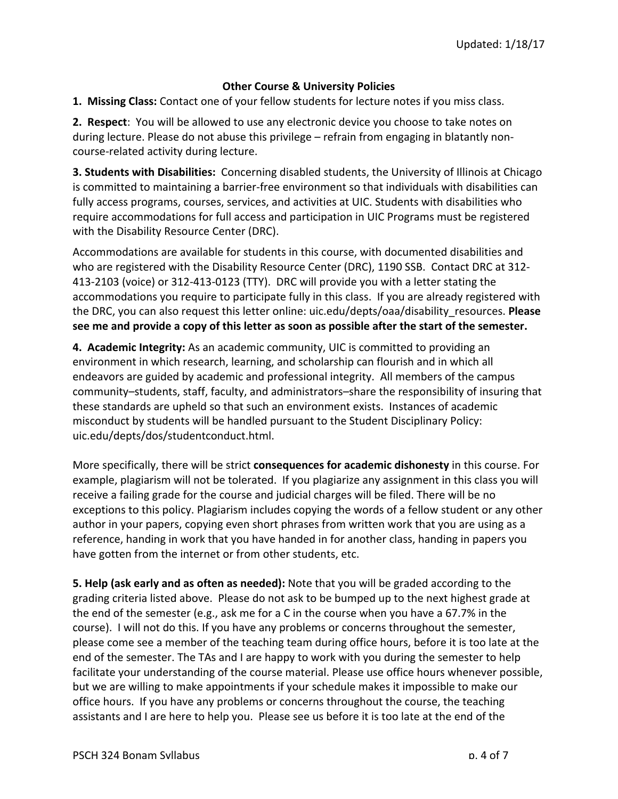# **Other Course & University Policies**

**1. Missing Class:** Contact one of your fellow students for lecture notes if you miss class.

**2.** Respect: You will be allowed to use any electronic device you choose to take notes on during lecture. Please do not abuse this privilege – refrain from engaging in blatantly noncourse-related activity during lecture.

**3. Students with Disabilities:** Concerning disabled students, the University of Illinois at Chicago is committed to maintaining a barrier-free environment so that individuals with disabilities can fully access programs, courses, services, and activities at UIC. Students with disabilities who require accommodations for full access and participation in UIC Programs must be registered with the Disability Resource Center (DRC).

Accommodations are available for students in this course, with documented disabilities and who are registered with the Disability Resource Center (DRC), 1190 SSB. Contact DRC at 312-413-2103 (voice) or 312-413-0123 (TTY). DRC will provide you with a letter stating the accommodations you require to participate fully in this class. If you are already registered with the DRC, you can also request this letter online: uic.edu/depts/oaa/disability resources. Please see me and provide a copy of this letter as soon as possible after the start of the semester.

**4. Academic Integrity:** As an academic community, UIC is committed to providing an environment in which research, learning, and scholarship can flourish and in which all endeavors are guided by academic and professional integrity. All members of the campus community–students, staff, faculty, and administrators–share the responsibility of insuring that these standards are upheld so that such an environment exists. Instances of academic misconduct by students will be handled pursuant to the Student Disciplinary Policy: uic.edu/depts/dos/studentconduct.html. 

More specifically, there will be strict **consequences for academic dishonesty** in this course. For example, plagiarism will not be tolerated. If you plagiarize any assignment in this class you will receive a failing grade for the course and judicial charges will be filed. There will be no exceptions to this policy. Plagiarism includes copying the words of a fellow student or any other author in your papers, copying even short phrases from written work that you are using as a reference, handing in work that you have handed in for another class, handing in papers you have gotten from the internet or from other students, etc.

**5. Help (ask early and as often as needed):** Note that you will be graded according to the grading criteria listed above. Please do not ask to be bumped up to the next highest grade at the end of the semester (e.g., ask me for a C in the course when you have a 67.7% in the course). I will not do this. If you have any problems or concerns throughout the semester, please come see a member of the teaching team during office hours, before it is too late at the end of the semester. The TAs and I are happy to work with you during the semester to help facilitate your understanding of the course material. Please use office hours whenever possible, but we are willing to make appointments if your schedule makes it impossible to make our office hours. If you have any problems or concerns throughout the course, the teaching assistants and I are here to help you. Please see us before it is too late at the end of the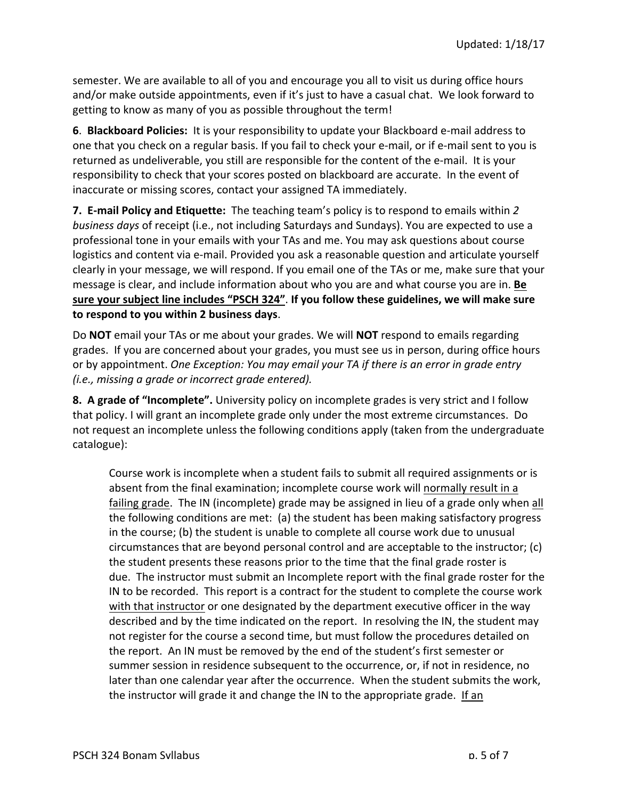semester. We are available to all of you and encourage you all to visit us during office hours and/or make outside appointments, even if it's just to have a casual chat. We look forward to getting to know as many of you as possible throughout the term!

**6. Blackboard Policies:** It is your responsibility to update your Blackboard e-mail address to one that you check on a regular basis. If you fail to check your e-mail, or if e-mail sent to you is returned as undeliverable, you still are responsible for the content of the e-mail. It is your responsibility to check that your scores posted on blackboard are accurate. In the event of inaccurate or missing scores, contact your assigned TA immediately.

**7. E-mail Policy and Etiquette:** The teaching team's policy is to respond to emails within 2 *business days* of receipt (i.e., not including Saturdays and Sundays). You are expected to use a professional tone in your emails with your TAs and me. You may ask questions about course logistics and content via e-mail. Provided you ask a reasonable question and articulate yourself clearly in your message, we will respond. If you email one of the TAs or me, make sure that your message is clear, and include information about who you are and what course you are in. **Be** sure your subject line includes "PSCH 324". If you follow these guidelines, we will make sure to respond to you within 2 business days.

Do **NOT** email your TAs or me about your grades. We will **NOT** respond to emails regarding grades. If you are concerned about your grades, you must see us in person, during office hours or by appointment. *One Exception: You may email your TA if there is an error in grade entry (i.e., missing a grade or incorrect grade entered).*

**8.** A grade of "Incomplete". University policy on incomplete grades is very strict and I follow that policy. I will grant an incomplete grade only under the most extreme circumstances. Do not request an incomplete unless the following conditions apply (taken from the undergraduate catalogue): 

Course work is incomplete when a student fails to submit all required assignments or is absent from the final examination; incomplete course work will normally result in a failing grade. The IN (incomplete) grade may be assigned in lieu of a grade only when all the following conditions are met: (a) the student has been making satisfactory progress in the course; (b) the student is unable to complete all course work due to unusual circumstances that are beyond personal control and are acceptable to the instructor;  $(c)$ the student presents these reasons prior to the time that the final grade roster is due. The instructor must submit an Incomplete report with the final grade roster for the IN to be recorded. This report is a contract for the student to complete the course work with that instructor or one designated by the department executive officer in the way described and by the time indicated on the report. In resolving the IN, the student may not register for the course a second time, but must follow the procedures detailed on the report. An IN must be removed by the end of the student's first semester or summer session in residence subsequent to the occurrence, or, if not in residence, no later than one calendar year after the occurrence. When the student submits the work, the instructor will grade it and change the IN to the appropriate grade. If an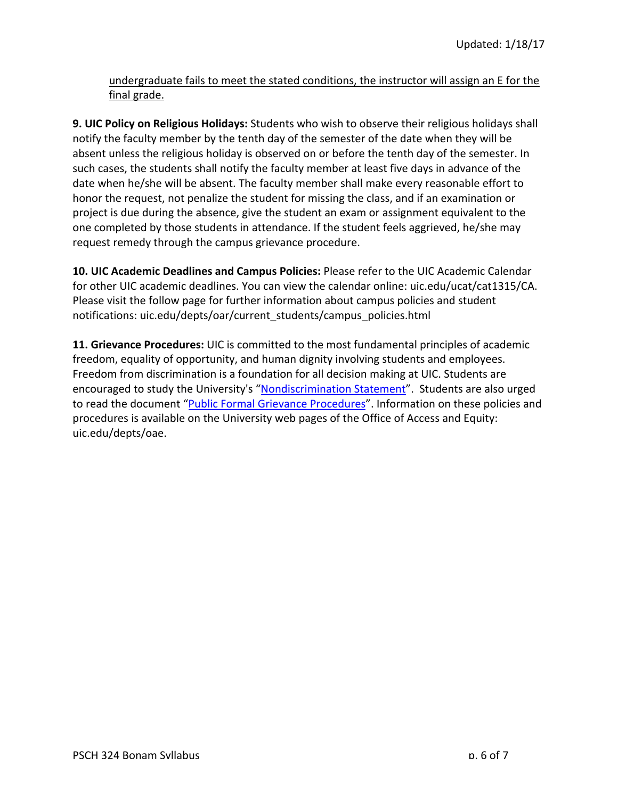undergraduate fails to meet the stated conditions, the instructor will assign an E for the final grade.

**9. UIC Policy on Religious Holidays:** Students who wish to observe their religious holidays shall notify the faculty member by the tenth day of the semester of the date when they will be absent unless the religious holiday is observed on or before the tenth day of the semester. In such cases, the students shall notify the faculty member at least five days in advance of the date when he/she will be absent. The faculty member shall make every reasonable effort to honor the request, not penalize the student for missing the class, and if an examination or project is due during the absence, give the student an exam or assignment equivalent to the one completed by those students in attendance. If the student feels aggrieved, he/she may request remedy through the campus grievance procedure.

**10. UIC Academic Deadlines and Campus Policies: Please refer to the UIC Academic Calendar** for other UIC academic deadlines. You can view the calendar online: uic.edu/ucat/cat1315/CA. Please visit the follow page for further information about campus policies and student notifications: uic.edu/depts/oar/current\_students/campus\_policies.html

**11. Grievance Procedures:** UIC is committed to the most fundamental principles of academic freedom, equality of opportunity, and human dignity involving students and employees. Freedom from discrimination is a foundation for all decision making at UIC. Students are encouraged to study the University's "Nondiscrimination Statement". Students are also urged to read the document "Public Formal Grievance Procedures". Information on these policies and procedures is available on the University web pages of the Office of Access and Equity: uic.edu/depts/oae.